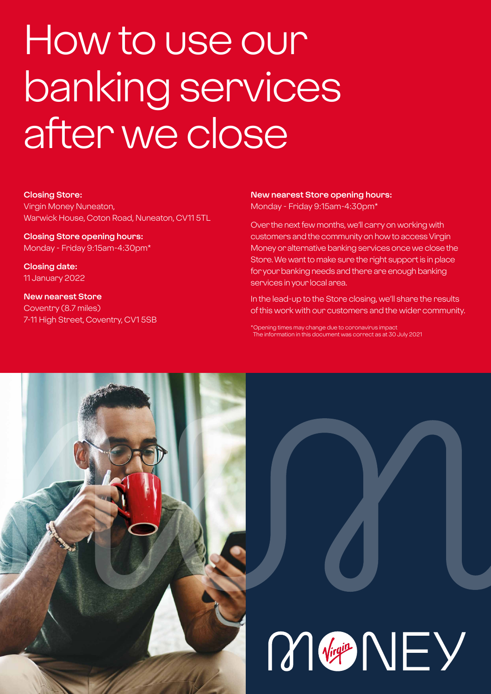# How to use our banking services after we close

#### **Closing Store:**

Virgin Money Nuneaton, Warwick House, Coton Road, Nuneaton, CV11 5TL

**Closing Store opening hours:**  Monday - Friday 9:15am-4:30pm\*

**Closing date:**  11 January 2022

**New nearest Store** Coventry (8.7 miles) 7-11 High Street, Coventry, CV1 5SB

## **New nearest Store opening hours:**

Monday - Friday 9:15am-4:30pm\*

Over the next few months, we'll carry on working with customers and the community on how to access Virgin Money or alternative banking services once we close the Store. We want to make sure the right support is in place for your banking needs and there are enough banking services in your local area.

In the lead-up to the Store closing, we'll share the results of this work with our customers and the wider community.

\*Opening times may change due to coronavirus impact The information in this document was correct as at 30 July 2021

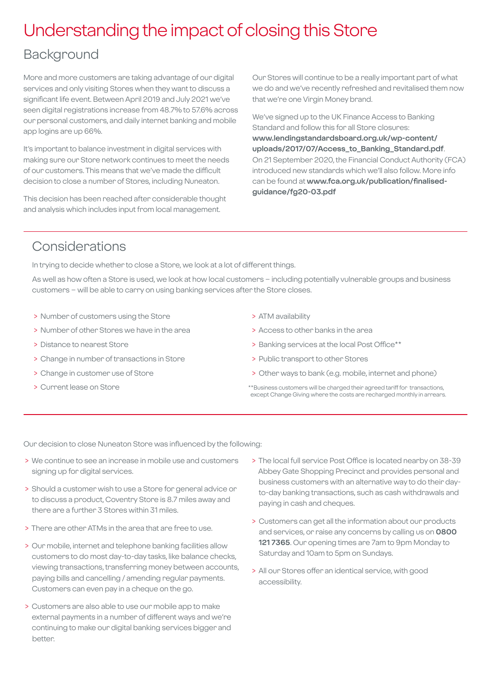## Understanding the impact of closing this Store

## Background

More and more customers are taking advantage of our digital services and only visiting Stores when they want to discuss a significant life event. Between April 2019 and July 2021 we've seen digital registrations increase from 48.7% to 57.6% across our personal customers, and daily internet banking and mobile app logins are up 66%.

It's important to balance investment in digital services with making sure our Store network continues to meet the needs of our customers. This means that we've made the difficult decision to close a number of Stores, including Nuneaton.

This decision has been reached after considerable thought and analysis which includes input from local management.

Our Stores will continue to be a really important part of what we do and we've recently refreshed and revitalised them now that we're one Virgin Money brand.

We've signed up to the UK Finance Access to Banking Standard and follow this for all Store closures: **[www.lendingstandardsboard.org.uk/wp-content/](http://www.lendingstandardsboard.org.uk/wp-content/uploads/2017/07/Access_to_Banking_Standard.pdf) [uploads/2017/07/Access\\_to\\_Banking\\_Standard.pdf](http://www.lendingstandardsboard.org.uk/wp-content/uploads/2017/07/Access_to_Banking_Standard.pdf)**. On 21 September 2020, the Financial Conduct Authority (FCA) introduced new standards which we'll also follow. More info can be found at **[www.fca.org.uk/publication/finalised](http://www.fca.org.uk/publication/finalised-guidance/fg20-03.pdf)[guidance/fg20-03.pdf](http://www.fca.org.uk/publication/finalised-guidance/fg20-03.pdf)**

## Considerations

In trying to decide whether to close a Store, we look at a lot of different things.

As well as how often a Store is used, we look at how local customers – including potentially vulnerable groups and business customers – will be able to carry on using banking services after the Store closes.

- > Number of customers using the Store
- > Number of other Stores we have in the area
- > Distance to nearest Store
- > Change in number of transactions in Store
- > Change in customer use of Store
- > Current lease on Store
- > ATM availability
- > Access to other banks in the area
- > Banking services at the local Post Office\*\*
- > Public transport to other Stores
- > Other ways to bank (e.g. mobile, internet and phone)
- \*\*Business customers will be charged their agreed tariff for transactions, except Change Giving where the costs are recharged monthly in arrears.

Our decision to close Nuneaton Store was influenced by the following:

- > We continue to see an increase in mobile use and customers signing up for digital services.
- > Should a customer wish to use a Store for general advice or to discuss a product, Coventry Store is 8.7 miles away and there are a further 3 Stores within 31 miles.
- > There are other ATMs in the area that are free to use.
- > Our mobile, internet and telephone banking facilities allow customers to do most day-to-day tasks, like balance checks, viewing transactions, transferring money between accounts, paying bills and cancelling / amending regular payments. Customers can even pay in a cheque on the go.
- > Customers are also able to use our mobile app to make external payments in a number of different ways and we're continuing to make our digital banking services bigger and better.
- > The local full service Post Office is located nearby on 38-39 Abbey Gate Shopping Precinct and provides personal and business customers with an alternative way to do their dayto-day banking transactions, such as cash withdrawals and paying in cash and cheques.
- > Customers can get all the information about our products and services, or raise any concerns by calling us on **0800 121 7365**. Our opening times are 7am to 9pm Monday to Saturday and 10am to 5pm on Sundays.
- > All our Stores offer an identical service, with good accessibility.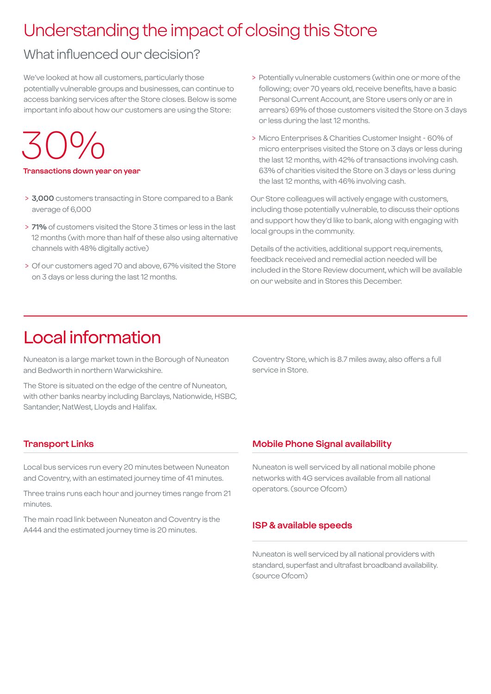## Understanding the impact of closing this Store

## What influenced our decision?

We've looked at how all customers, particularly those potentially vulnerable groups and businesses, can continue to access banking services after the Store closes. Below is some important info about how our customers are using the Store:

30%

#### **Transactions down year on year**

- > **3,000** customers transacting in Store compared to a Bank average of 6,000
- > **71%** of customers visited the Store 3 times or less in the last 12 months (with more than half of these also using alternative channels with 48% digitally active)
- > Of our customers aged 70 and above, 67% visited the Store on 3 days or less during the last 12 months.
- > Potentially vulnerable customers (within one or more of the following; over 70 years old, receive benefits, have a basic Personal Current Account, are Store users only or are in arrears) 69% of those customers visited the Store on 3 days or less during the last 12 months.
- > Micro Enterprises & Charities Customer Insight 60% of micro enterprises visited the Store on 3 days or less during the last 12 months, with 42% of transactions involving cash. 63% of charities visited the Store on 3 days or less during the last 12 months, with 46% involving cash.

Our Store colleagues will actively engage with customers, including those potentially vulnerable, to discuss their options and support how they'd like to bank, along with engaging with local groups in the community.

Details of the activities, additional support requirements, feedback received and remedial action needed will be included in the Store Review document, which will be available on our website and in Stores this December.

## Local information

Nuneaton is a large market town in the Borough of Nuneaton and Bedworth in northern Warwickshire.

The Store is situated on the edge of the centre of Nuneaton, with other banks nearby including Barclays, Nationwide, HSBC, Santander, NatWest, Lloyds and Halifax.

Coventry Store, which is 8.7 miles away, also offers a full service in Store.

#### **Transport Links**

Local bus services run every 20 minutes between Nuneaton and Coventry, with an estimated journey time of 41 minutes.

Three trains runs each hour and journey times range from 21 minutes.

The main road link between Nuneaton and Coventry is the A444 and the estimated journey time is 20 minutes.

#### **Mobile Phone Signal availability**

Nuneaton is well serviced by all national mobile phone networks with 4G services available from all national operators. (source Ofcom)

#### **ISP & available speeds**

Nuneaton is well serviced by all national providers with standard, superfast and ultrafast broadband availability. (source Ofcom)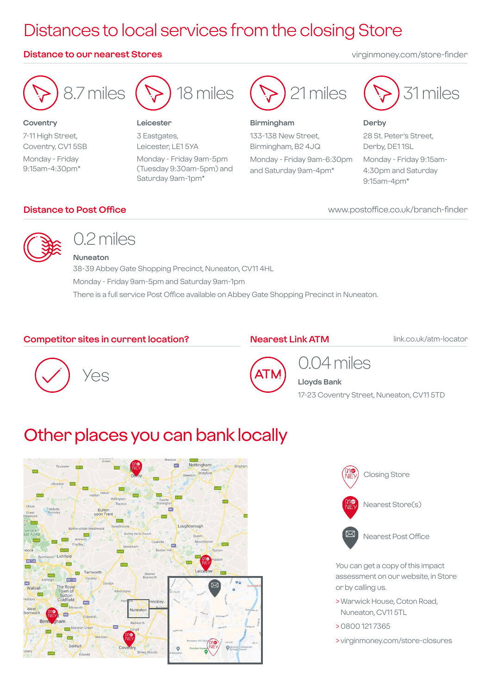## Distances to local services from the closing Store

#### **Distance to our nearest Stores** virginmoney.com/store-finder



**Coventry** 7-11 High Street, Coventry, CV1 5SB Monday - Friday 9:15am-4:30pm\*



#### **Leicester**

3 Eastgates, Leicester, LE1 5YA Monday - Friday 9am-5pm (Tuesday 9:30am-5pm) and Saturday 9am-1pm\*



#### **Birmingham**

133-138 New Street, Birmingham, B2 4JQ

Monday - Friday 9am-6:30pm and Saturday 9am-4pm\*



#### **Derby** 28 St. Peter's Street, Derby, DE1 1SL Monday - Friday 9:15am-4:30pm and Saturday

www.postoffice.co.uk/branch-finder

9:15am-4pm\*

#### **Distance to Post Office**



## 0.2 miles

**Nuneaton**

38-39 Abbey Gate Shopping Precinct, Nuneaton, CV11 4HL Monday - Friday 9am-5pm and Saturday 9am-1pm There is a full service Post Office available on Abbey Gate Shopping Precinct in Nuneaton.

#### **Competitor sites in current location?**

#### **Nearest Link ATM**

link.co.uk/atm-locator





## 0.04 miles **Lloyds Bank**

17-23 Coventry Street, Nuneaton, CV11 5TD

## Other places you can bank locally





You can get a copy of this impact assessment on our website, in Store or by calling us.

- > Warwick House, Coton Road, Nuneaton, CV11 5TL
- > 0800 121 7365
- > virginmoney.com/store-closures